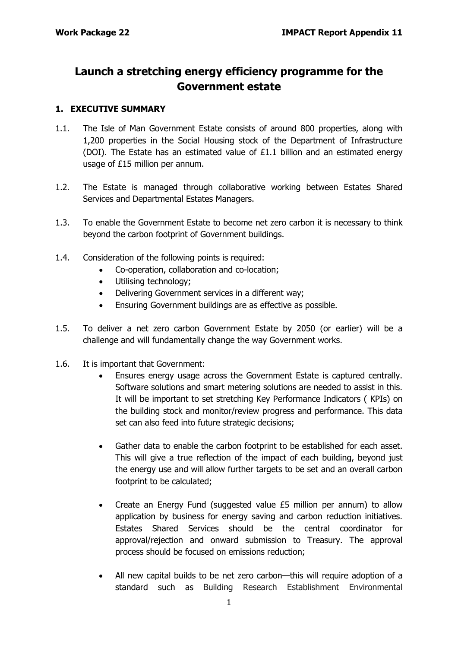# **Launch a stretching energy efficiency programme for the Government estate**

## **1. EXECUTIVE SUMMARY**

- 1.1. The Isle of Man Government Estate consists of around 800 properties, along with 1,200 properties in the Social Housing stock of the Department of Infrastructure (DOI). The Estate has an estimated value of £1.1 billion and an estimated energy usage of £15 million per annum.
- 1.2. The Estate is managed through collaborative working between Estates Shared Services and Departmental Estates Managers.
- 1.3. To enable the Government Estate to become net zero carbon it is necessary to think beyond the carbon footprint of Government buildings.
- 1.4. Consideration of the following points is required:
	- Co-operation, collaboration and co-location;
	- Utilising technology;
	- Delivering Government services in a different way;
	- Ensuring Government buildings are as effective as possible.
- 1.5. To deliver a net zero carbon Government Estate by 2050 (or earlier) will be a challenge and will fundamentally change the way Government works.
- 1.6. It is important that Government:
	- Ensures energy usage across the Government Estate is captured centrally. Software solutions and smart metering solutions are needed to assist in this. It will be important to set stretching Key Performance Indicators ( KPIs) on the building stock and monitor/review progress and performance. This data set can also feed into future strategic decisions;
	- Gather data to enable the carbon footprint to be established for each asset. This will give a true reflection of the impact of each building, beyond just the energy use and will allow further targets to be set and an overall carbon footprint to be calculated;
	- Create an Energy Fund (suggested value  $£5$  million per annum) to allow application by business for energy saving and carbon reduction initiatives. Estates Shared Services should be the central coordinator for approval/rejection and onward submission to Treasury. The approval process should be focused on emissions reduction;
	- All new capital builds to be net zero carbon—this will require adoption of a standard such as Building Research Establishment Environmental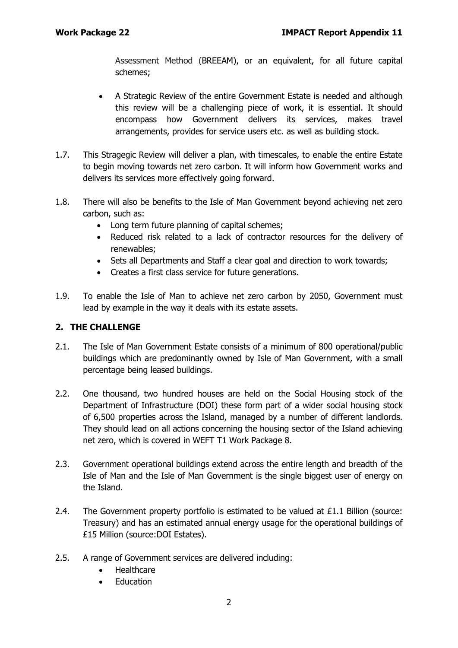Assessment Method (BREEAM), or an equivalent, for all future capital schemes;

- A Strategic Review of the entire Government Estate is needed and although this review will be a challenging piece of work, it is essential. It should encompass how Government delivers its services, makes travel arrangements, provides for service users etc. as well as building stock.
- 1.7. This Stragegic Review will deliver a plan, with timescales, to enable the entire Estate to begin moving towards net zero carbon. It will inform how Government works and delivers its services more effectively going forward.
- 1.8. There will also be benefits to the Isle of Man Government beyond achieving net zero carbon, such as:
	- Long term future planning of capital schemes;
	- Reduced risk related to a lack of contractor resources for the delivery of renewables;
	- Sets all Departments and Staff a clear goal and direction to work towards;
	- Creates a first class service for future generations.
- 1.9. To enable the Isle of Man to achieve net zero carbon by 2050, Government must lead by example in the way it deals with its estate assets.

## **2. THE CHALLENGE**

- 2.1. The Isle of Man Government Estate consists of a minimum of 800 operational/public buildings which are predominantly owned by Isle of Man Government, with a small percentage being leased buildings.
- 2.2. One thousand, two hundred houses are held on the Social Housing stock of the Department of Infrastructure (DOI) these form part of a wider social housing stock of 6,500 properties across the Island, managed by a number of different landlords. They should lead on all actions concerning the housing sector of the Island achieving net zero, which is covered in WEFT T1 Work Package 8.
- 2.3. Government operational buildings extend across the entire length and breadth of the Isle of Man and the Isle of Man Government is the single biggest user of energy on the Island.
- 2.4. The Government property portfolio is estimated to be valued at £1.1 Billion (source: Treasury) and has an estimated annual energy usage for the operational buildings of £15 Million (source:DOI Estates).
- 2.5. A range of Government services are delivered including:
	- Healthcare
	- Education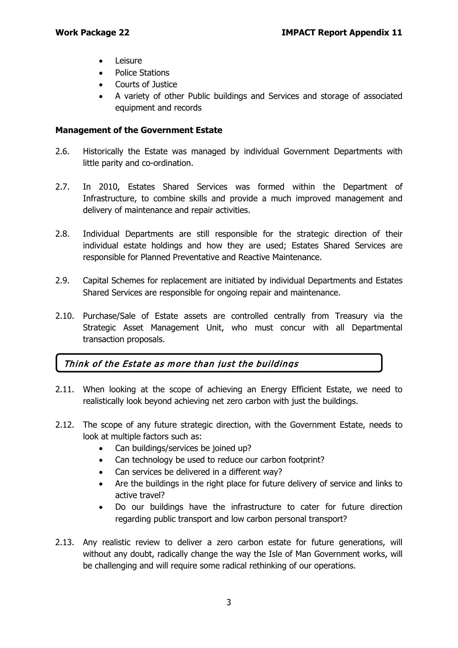- **Leisure**
- Police Stations
- Courts of Justice
- A variety of other Public buildings and Services and storage of associated equipment and records

## **Management of the Government Estate**

- 2.6. Historically the Estate was managed by individual Government Departments with little parity and co-ordination.
- 2.7. In 2010, Estates Shared Services was formed within the Department of Infrastructure, to combine skills and provide a much improved management and delivery of maintenance and repair activities.
- 2.8. Individual Departments are still responsible for the strategic direction of their individual estate holdings and how they are used; Estates Shared Services are responsible for Planned Preventative and Reactive Maintenance.
- 2.9. Capital Schemes for replacement are initiated by individual Departments and Estates Shared Services are responsible for ongoing repair and maintenance.
- 2.10. Purchase/Sale of Estate assets are controlled centrally from Treasury via the Strategic Asset Management Unit, who must concur with all Departmental transaction proposals.

## Think of the Estate as more than just the buildings

- 2.11. When looking at the scope of achieving an Energy Efficient Estate, we need to realistically look beyond achieving net zero carbon with just the buildings.
- 2.12. The scope of any future strategic direction, with the Government Estate, needs to look at multiple factors such as:
	- Can buildings/services be joined up?
	- Can technology be used to reduce our carbon footprint?
	- Can services be delivered in a different way?
	- Are the buildings in the right place for future delivery of service and links to active travel?
	- Do our buildings have the infrastructure to cater for future direction regarding public transport and low carbon personal transport?
- 2.13. Any realistic review to deliver a zero carbon estate for future generations, will without any doubt, radically change the way the Isle of Man Government works, will be challenging and will require some radical rethinking of our operations.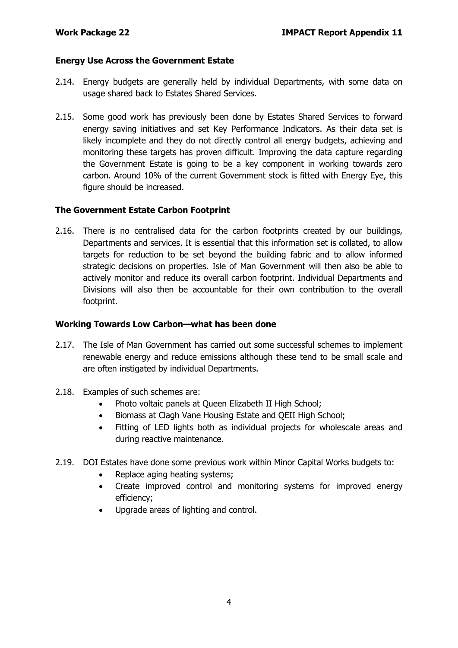## **Energy Use Across the Government Estate**

- 2.14. Energy budgets are generally held by individual Departments, with some data on usage shared back to Estates Shared Services.
- 2.15. Some good work has previously been done by Estates Shared Services to forward energy saving initiatives and set Key Performance Indicators. As their data set is likely incomplete and they do not directly control all energy budgets, achieving and monitoring these targets has proven difficult. Improving the data capture regarding the Government Estate is going to be a key component in working towards zero carbon. Around 10% of the current Government stock is fitted with Energy Eye, this figure should be increased.

## **The Government Estate Carbon Footprint**

2.16. There is no centralised data for the carbon footprints created by our buildings, Departments and services. It is essential that this information set is collated, to allow targets for reduction to be set beyond the building fabric and to allow informed strategic decisions on properties. Isle of Man Government will then also be able to actively monitor and reduce its overall carbon footprint. Individual Departments and Divisions will also then be accountable for their own contribution to the overall footprint.

## **Working Towards Low Carbon—what has been done**

- 2.17. The Isle of Man Government has carried out some successful schemes to implement renewable energy and reduce emissions although these tend to be small scale and are often instigated by individual Departments.
- 2.18. Examples of such schemes are:
	- Photo voltaic panels at Queen Elizabeth II High School;
	- Biomass at Clagh Vane Housing Estate and QEII High School;
	- Fitting of LED lights both as individual projects for wholescale areas and during reactive maintenance.
- 2.19. DOI Estates have done some previous work within Minor Capital Works budgets to:
	- Replace aging heating systems;
	- Create improved control and monitoring systems for improved energy efficiency;
	- Upgrade areas of lighting and control.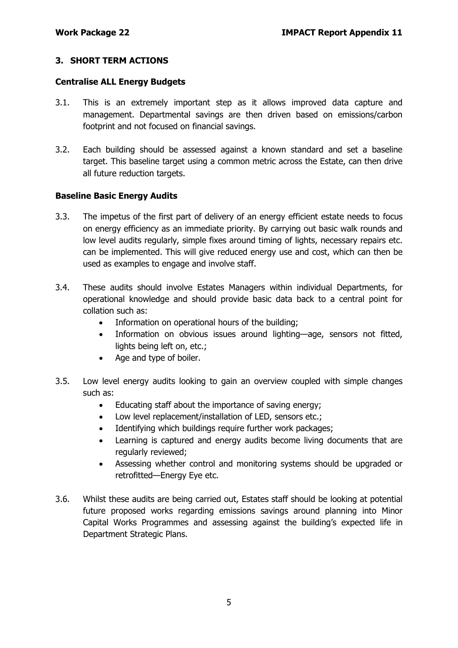## **3. SHORT TERM ACTIONS**

#### **Centralise ALL Energy Budgets**

- 3.1. This is an extremely important step as it allows improved data capture and management. Departmental savings are then driven based on emissions/carbon footprint and not focused on financial savings.
- 3.2. Each building should be assessed against a known standard and set a baseline target. This baseline target using a common metric across the Estate, can then drive all future reduction targets.

## **Baseline Basic Energy Audits**

- 3.3. The impetus of the first part of delivery of an energy efficient estate needs to focus on energy efficiency as an immediate priority. By carrying out basic walk rounds and low level audits regularly, simple fixes around timing of lights, necessary repairs etc. can be implemented. This will give reduced energy use and cost, which can then be used as examples to engage and involve staff.
- 3.4. These audits should involve Estates Managers within individual Departments, for operational knowledge and should provide basic data back to a central point for collation such as:
	- Information on operational hours of the building;
	- Information on obvious issues around lighting—age, sensors not fitted, lights being left on, etc.;
	- Age and type of boiler.
- 3.5. Low level energy audits looking to gain an overview coupled with simple changes such as:
	- Educating staff about the importance of saving energy;
	- Low level replacement/installation of LED, sensors etc.;
	- Identifying which buildings require further work packages;
	- Learning is captured and energy audits become living documents that are regularly reviewed;
	- Assessing whether control and monitoring systems should be upgraded or retrofitted—Energy Eye etc.
- 3.6. Whilst these audits are being carried out, Estates staff should be looking at potential future proposed works regarding emissions savings around planning into Minor Capital Works Programmes and assessing against the building's expected life in Department Strategic Plans.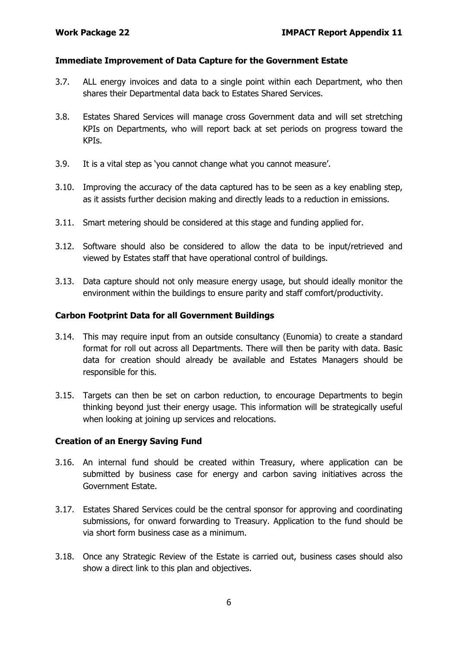#### **Immediate Improvement of Data Capture for the Government Estate**

- 3.7. ALL energy invoices and data to a single point within each Department, who then shares their Departmental data back to Estates Shared Services.
- 3.8. Estates Shared Services will manage cross Government data and will set stretching KPIs on Departments, who will report back at set periods on progress toward the KPIs.
- 3.9. It is a vital step as 'you cannot change what you cannot measure'.
- 3.10. Improving the accuracy of the data captured has to be seen as a key enabling step, as it assists further decision making and directly leads to a reduction in emissions.
- 3.11. Smart metering should be considered at this stage and funding applied for.
- 3.12. Software should also be considered to allow the data to be input/retrieved and viewed by Estates staff that have operational control of buildings.
- 3.13. Data capture should not only measure energy usage, but should ideally monitor the environment within the buildings to ensure parity and staff comfort/productivity.

#### **Carbon Footprint Data for all Government Buildings**

- 3.14. This may require input from an outside consultancy (Eunomia) to create a standard format for roll out across all Departments. There will then be parity with data. Basic data for creation should already be available and Estates Managers should be responsible for this.
- 3.15. Targets can then be set on carbon reduction, to encourage Departments to begin thinking beyond just their energy usage. This information will be strategically useful when looking at joining up services and relocations.

## **Creation of an Energy Saving Fund**

- 3.16. An internal fund should be created within Treasury, where application can be submitted by business case for energy and carbon saving initiatives across the Government Estate.
- 3.17. Estates Shared Services could be the central sponsor for approving and coordinating submissions, for onward forwarding to Treasury. Application to the fund should be via short form business case as a minimum.
- 3.18. Once any Strategic Review of the Estate is carried out, business cases should also show a direct link to this plan and objectives.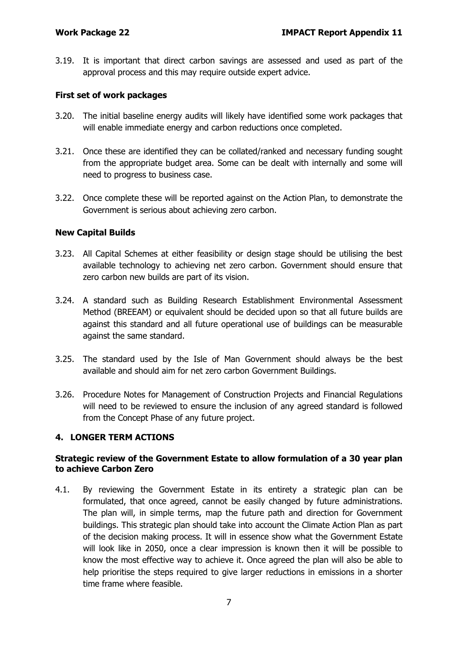3.19. It is important that direct carbon savings are assessed and used as part of the approval process and this may require outside expert advice.

## **First set of work packages**

- 3.20. The initial baseline energy audits will likely have identified some work packages that will enable immediate energy and carbon reductions once completed.
- 3.21. Once these are identified they can be collated/ranked and necessary funding sought from the appropriate budget area. Some can be dealt with internally and some will need to progress to business case.
- 3.22. Once complete these will be reported against on the Action Plan, to demonstrate the Government is serious about achieving zero carbon.

## **New Capital Builds**

- 3.23. All Capital Schemes at either feasibility or design stage should be utilising the best available technology to achieving net zero carbon. Government should ensure that zero carbon new builds are part of its vision.
- 3.24. A standard such as Building Research Establishment Environmental Assessment Method (BREEAM) or equivalent should be decided upon so that all future builds are against this standard and all future operational use of buildings can be measurable against the same standard.
- 3.25. The standard used by the Isle of Man Government should always be the best available and should aim for net zero carbon Government Buildings.
- 3.26. Procedure Notes for Management of Construction Projects and Financial Regulations will need to be reviewed to ensure the inclusion of any agreed standard is followed from the Concept Phase of any future project.

## **4. LONGER TERM ACTIONS**

## **Strategic review of the Government Estate to allow formulation of a 30 year plan to achieve Carbon Zero**

4.1. By reviewing the Government Estate in its entirety a strategic plan can be formulated, that once agreed, cannot be easily changed by future administrations. The plan will, in simple terms, map the future path and direction for Government buildings. This strategic plan should take into account the Climate Action Plan as part of the decision making process. It will in essence show what the Government Estate will look like in 2050, once a clear impression is known then it will be possible to know the most effective way to achieve it. Once agreed the plan will also be able to help prioritise the steps required to give larger reductions in emissions in a shorter time frame where feasible.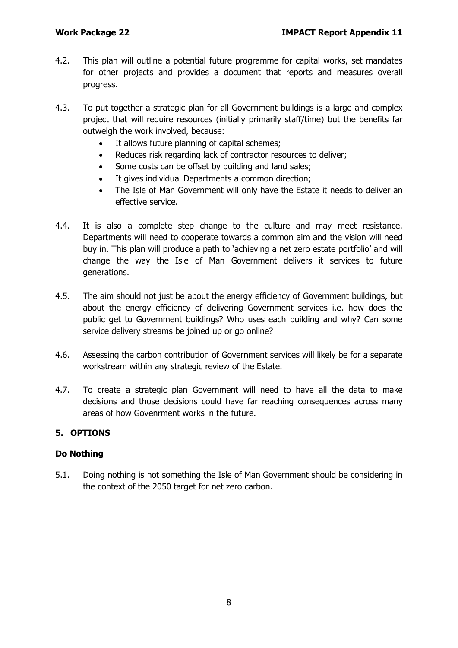- 4.2. This plan will outline a potential future programme for capital works, set mandates for other projects and provides a document that reports and measures overall progress.
- 4.3. To put together a strategic plan for all Government buildings is a large and complex project that will require resources (initially primarily staff/time) but the benefits far outweigh the work involved, because:
	- It allows future planning of capital schemes;
	- Reduces risk regarding lack of contractor resources to deliver;
	- Some costs can be offset by building and land sales;
	- It gives individual Departments a common direction;
	- The Isle of Man Government will only have the Estate it needs to deliver an effective service.
- 4.4. It is also a complete step change to the culture and may meet resistance. Departments will need to cooperate towards a common aim and the vision will need buy in. This plan will produce a path to 'achieving a net zero estate portfolio' and will change the way the Isle of Man Government delivers it services to future generations.
- 4.5. The aim should not just be about the energy efficiency of Government buildings, but about the energy efficiency of delivering Government services i.e. how does the public get to Government buildings? Who uses each building and why? Can some service delivery streams be joined up or go online?
- 4.6. Assessing the carbon contribution of Government services will likely be for a separate workstream within any strategic review of the Estate.
- 4.7. To create a strategic plan Government will need to have all the data to make decisions and those decisions could have far reaching consequences across many areas of how Govenrment works in the future.

## **5. OPTIONS**

## **Do Nothing**

5.1. Doing nothing is not something the Isle of Man Government should be considering in the context of the 2050 target for net zero carbon.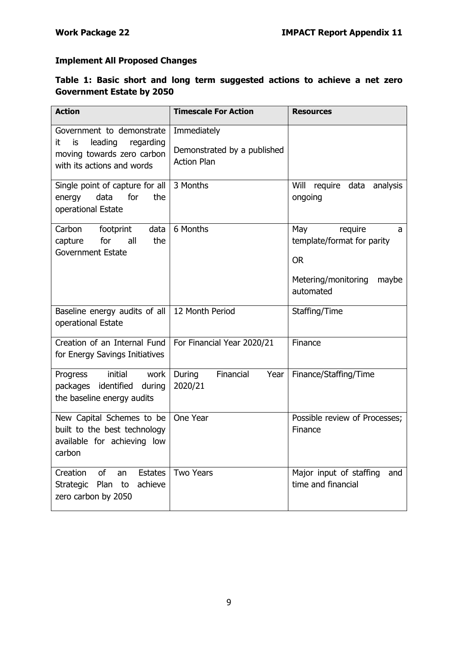## **Implement All Proposed Changes**

## **Table 1: Basic short and long term suggested actions to achieve a net zero Government Estate by 2050**

| <b>Action</b>                                                                                                              | <b>Timescale For Action</b>                                      | <b>Resources</b>                                                                                            |  |
|----------------------------------------------------------------------------------------------------------------------------|------------------------------------------------------------------|-------------------------------------------------------------------------------------------------------------|--|
| Government to demonstrate<br>it<br>leading<br>regarding<br>is.<br>moving towards zero carbon<br>with its actions and words | Immediately<br>Demonstrated by a published<br><b>Action Plan</b> |                                                                                                             |  |
| Single point of capture for all<br>data<br>for<br>the<br>energy<br>operational Estate                                      | 3 Months                                                         | Will<br>require<br>data<br>analysis<br>ongoing                                                              |  |
| Carbon<br>footprint<br>data<br>for<br>all<br>the<br>capture<br><b>Government Estate</b>                                    | 6 Months                                                         | May<br>require<br>a<br>template/format for parity<br><b>OR</b><br>Metering/monitoring<br>maybe<br>automated |  |
| Baseline energy audits of all<br>operational Estate                                                                        | 12 Month Period                                                  | Staffing/Time                                                                                               |  |
| Creation of an Internal Fund<br>for Energy Savings Initiatives                                                             | For Financial Year 2020/21                                       | Finance                                                                                                     |  |
| initial<br>Progress<br>work<br>packages identified during<br>the baseline energy audits                                    | Financial<br>During<br>Year<br>2020/21                           | Finance/Staffing/Time                                                                                       |  |
| New Capital Schemes to be<br>built to the best technology<br>available for achieving low<br>carbon                         | One Year                                                         | Possible review of Processes;<br>Finance                                                                    |  |
| Creation<br>of<br><b>Estates</b><br>an<br>Plan<br>achieve<br>Strategic<br>to<br>zero carbon by 2050                        | <b>Two Years</b>                                                 | Major input of staffing<br>and<br>time and financial                                                        |  |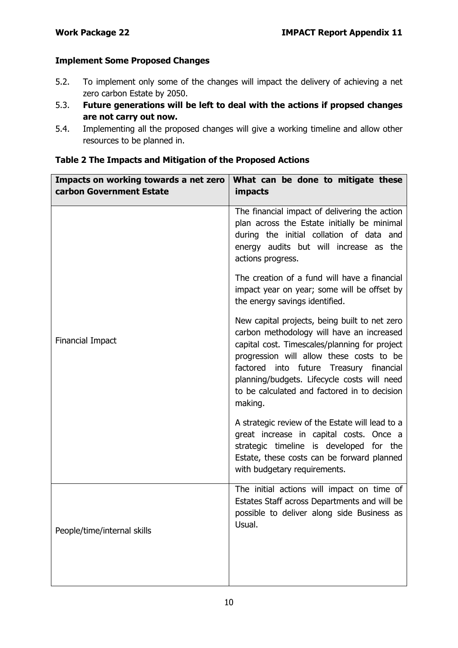## **Implement Some Proposed Changes**

- 5.2. To implement only some of the changes will impact the delivery of achieving a net zero carbon Estate by 2050.
- 5.3. **Future generations will be left to deal with the actions if propsed changes are not carry out now.**
- 5.4. Implementing all the proposed changes will give a working timeline and allow other resources to be planned in.

| Impacts on working towards a net zero<br>carbon Government Estate | What can be done to mitigate these<br>impacts                                                                                                                                                                                                                                                                                                |
|-------------------------------------------------------------------|----------------------------------------------------------------------------------------------------------------------------------------------------------------------------------------------------------------------------------------------------------------------------------------------------------------------------------------------|
|                                                                   | The financial impact of delivering the action<br>plan across the Estate initially be minimal<br>during the initial collation of data and<br>energy audits but will increase as the<br>actions progress.                                                                                                                                      |
|                                                                   | The creation of a fund will have a financial<br>impact year on year; some will be offset by<br>the energy savings identified.                                                                                                                                                                                                                |
| <b>Financial Impact</b>                                           | New capital projects, being built to net zero<br>carbon methodology will have an increased<br>capital cost. Timescales/planning for project<br>progression will allow these costs to be<br>factored into future Treasury financial<br>planning/budgets. Lifecycle costs will need<br>to be calculated and factored in to decision<br>making. |
|                                                                   | A strategic review of the Estate will lead to a<br>great increase in capital costs. Once a<br>strategic timeline is developed for the<br>Estate, these costs can be forward planned<br>with budgetary requirements.                                                                                                                          |
| People/time/internal skills                                       | The initial actions will impact on time of<br>Estates Staff across Departments and will be<br>possible to deliver along side Business as<br>Usual.                                                                                                                                                                                           |

## **Table 2 The Impacts and Mitigation of the Proposed Actions**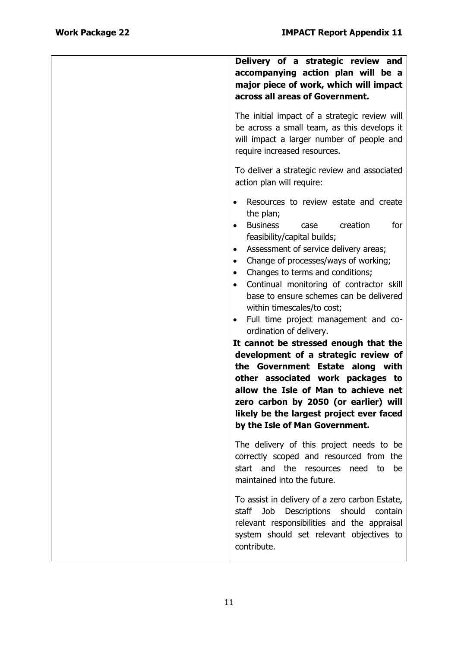| Delivery of a strategic review and<br>accompanying action plan will be a<br>major piece of work, which will impact<br>across all areas of Government.                                                                                                                                                                                                                                                                                                                                                                                                                                                                                                                                                                                                                                                |
|------------------------------------------------------------------------------------------------------------------------------------------------------------------------------------------------------------------------------------------------------------------------------------------------------------------------------------------------------------------------------------------------------------------------------------------------------------------------------------------------------------------------------------------------------------------------------------------------------------------------------------------------------------------------------------------------------------------------------------------------------------------------------------------------------|
| The initial impact of a strategic review will<br>be across a small team, as this develops it<br>will impact a larger number of people and<br>require increased resources.                                                                                                                                                                                                                                                                                                                                                                                                                                                                                                                                                                                                                            |
| To deliver a strategic review and associated<br>action plan will require:                                                                                                                                                                                                                                                                                                                                                                                                                                                                                                                                                                                                                                                                                                                            |
| Resources to review estate and create<br>the plan;<br><b>Business</b><br>creation<br>for<br>case<br>feasibility/capital builds;<br>Assessment of service delivery areas;<br>Change of processes/ways of working;<br>٠<br>Changes to terms and conditions;<br>$\bullet$<br>Continual monitoring of contractor skill<br>base to ensure schemes can be delivered<br>within timescales/to cost;<br>Full time project management and co-<br>$\bullet$<br>ordination of delivery.<br>It cannot be stressed enough that the<br>development of a strategic review of<br>the Government Estate along with<br>other associated work packages to<br>allow the Isle of Man to achieve net<br>zero carbon by 2050 (or earlier) will<br>likely be the largest project ever faced<br>by the Isle of Man Government. |
| The delivery of this project needs to be<br>correctly scoped and resourced from the<br>start and the resources need to<br>be<br>maintained into the future.                                                                                                                                                                                                                                                                                                                                                                                                                                                                                                                                                                                                                                          |
| To assist in delivery of a zero carbon Estate,<br>Descriptions<br>Job<br>should<br>staff<br>contain<br>relevant responsibilities and the appraisal<br>system should set relevant objectives to<br>contribute.                                                                                                                                                                                                                                                                                                                                                                                                                                                                                                                                                                                        |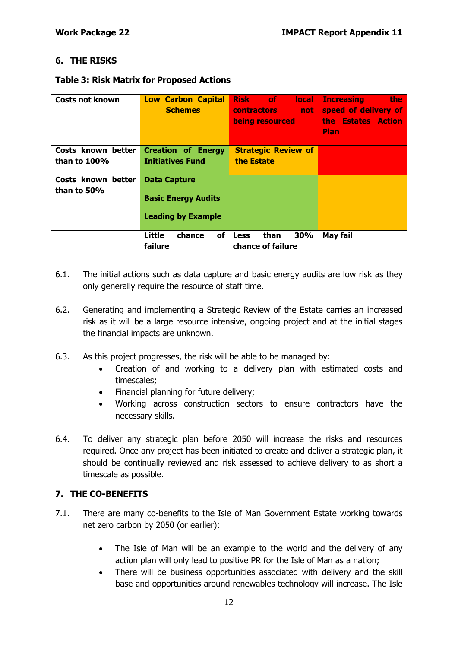## **6. THE RISKS**

#### **Table 3: Risk Matrix for Proposed Actions**

| Costs not known                       | <b>Low Carbon Capital</b><br><b>Schemes</b>                                    | <b>Risk</b> of<br><b>local</b><br><b>contractors</b><br>not not<br>being resourced | <b>Increasing</b><br><b>the</b><br>speed of delivery of<br>the Estates Action<br><b>Plan</b> |
|---------------------------------------|--------------------------------------------------------------------------------|------------------------------------------------------------------------------------|----------------------------------------------------------------------------------------------|
| Costs known better<br>than to $100\%$ | <b>Creation of Energy</b><br><b>Initiatives Fund</b>                           | <b>Strategic Review of</b><br>the Estate                                           |                                                                                              |
| Costs known better<br>than to 50%     | <b>Data Capture</b><br><b>Basic Energy Audits</b><br><b>Leading by Example</b> |                                                                                    |                                                                                              |
|                                       | Little<br>of<br>chance<br>failure                                              | than<br>30%<br><b>Less</b><br>chance of failure                                    | May fail                                                                                     |

- 6.1. The initial actions such as data capture and basic energy audits are low risk as they only generally require the resource of staff time.
- 6.2. Generating and implementing a Strategic Review of the Estate carries an increased risk as it will be a large resource intensive, ongoing project and at the initial stages the financial impacts are unknown.
- 6.3. As this project progresses, the risk will be able to be managed by:
	- Creation of and working to a delivery plan with estimated costs and timescales;
	- Financial planning for future delivery;
	- Working across construction sectors to ensure contractors have the necessary skills.
- 6.4. To deliver any strategic plan before 2050 will increase the risks and resources required. Once any project has been initiated to create and deliver a strategic plan, it should be continually reviewed and risk assessed to achieve delivery to as short a timescale as possible.

## **7. THE CO-BENEFITS**

- 7.1. There are many co-benefits to the Isle of Man Government Estate working towards net zero carbon by 2050 (or earlier):
	- The Isle of Man will be an example to the world and the delivery of any action plan will only lead to positive PR for the Isle of Man as a nation;
	- There will be business opportunities associated with delivery and the skill base and opportunities around renewables technology will increase. The Isle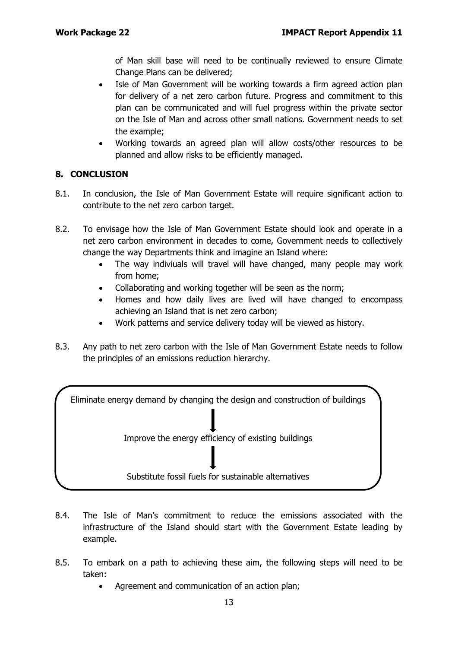of Man skill base will need to be continually reviewed to ensure Climate Change Plans can be delivered;

- Isle of Man Government will be working towards a firm agreed action plan for delivery of a net zero carbon future. Progress and commitment to this plan can be communicated and will fuel progress within the private sector on the Isle of Man and across other small nations. Government needs to set the example;
- Working towards an agreed plan will allow costs/other resources to be planned and allow risks to be efficiently managed.

## **8. CONCLUSION**

- 8.1. In conclusion, the Isle of Man Government Estate will require significant action to contribute to the net zero carbon target.
- 8.2. To envisage how the Isle of Man Government Estate should look and operate in a net zero carbon environment in decades to come, Government needs to collectively change the way Departments think and imagine an Island where:
	- The way indiviuals will travel will have changed, many people may work from home;
	- Collaborating and working together will be seen as the norm;
	- Homes and how daily lives are lived will have changed to encompass achieving an Island that is net zero carbon;
	- Work patterns and service delivery today will be viewed as history.
- 8.3. Any path to net zero carbon with the Isle of Man Government Estate needs to follow the principles of an emissions reduction hierarchy.



- 8.4. The Isle of Man's commitment to reduce the emissions associated with the infrastructure of the Island should start with the Government Estate leading by example.
- 8.5. To embark on a path to achieving these aim, the following steps will need to be taken:
	- Agreement and communication of an action plan;